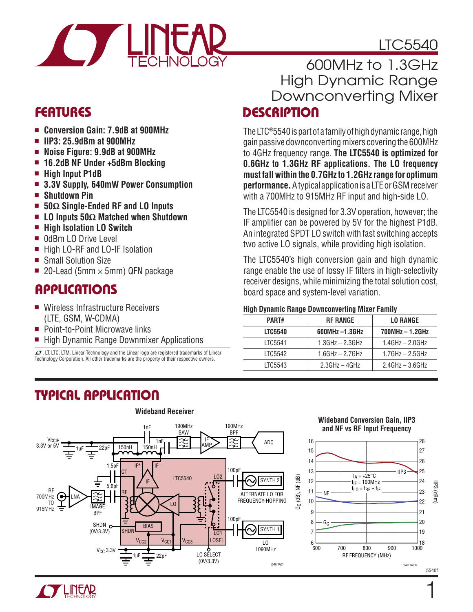

# LTC5540

### Features

- <sup>n</sup> **Conversion Gain: 7.9dB at 900MHz**
- <sup>n</sup> **IIP3: 25.9dBm at 900MHz**
- <sup>n</sup> **Noise Figure: 9.9dB at 900MHz**
- <sup>n</sup> **16.2dB NF Under +5dBm Blocking**
- $\blacksquare$  **High Input P1dB**
- <sup>n</sup> **3.3V Supply, 640mW Power Consumption**
- <sup>n</sup> **Shutdown Pin**
- 50Ω Single-Ended RF and LO Inputs
- <sup>n</sup> **LO Inputs 50Ω Matched when Shutdown**
- High Isolation LO Switch
- OdBm LO Drive Level
- High LO-RF and LO-IF Isolation
- Small Solution Size
- **20-Lead (5mm**  $\times$  **5mm) QFN package**

### Applications

- Wireless Infrastructure Receivers (LTE, GSM, W-CDMA)
- Point-to-Point Microwave links
- High Dynamic Range Downmixer Applications

 $I$ , LT, LTC, LTM, Linear Technology and the Linear logo are registered trademarks of Linear Technology Corporation. All other trademarks are the property of their respective owners.

### **DESCRIPTION** 600MHz to 1.3GHz High Dynamic Range Downconverting Mixer

The LTC®5540 is part of a family of high dynamic range, high gain passive downconverting mixers covering the 600MHz to 4GHz frequency range. **The LTC5540 is optimized for 0.6GHz to 1.3GHz RF applications. The LO frequency must fall within the 0.7GHz to 1.2GHz range for optimum performance.** A typical application is a LTE or GSM receiver with a 700MHz to 915MHz RF input and high-side LO.

The LTC5540 is designed for 3.3V operation, however; the IF amplifier can be powered by 5V for the highest P1dB. An integrated SPDT LO switch with fast switching accepts two active LO signals, while providing high isolation.

The LTC5540's high conversion gain and high dynamic range enable the use of lossy IF filters in high-selectivity receiver designs, while minimizing the total solution cost, board space and system-level variation.

#### **High Dynamic Range Downconverting Mixer Family**

| $\tilde{\phantom{a}}$ |                       |                      |
|-----------------------|-----------------------|----------------------|
| PART#                 | <b>RF RANGE</b>       | <b>LO RANGE</b>      |
| <b>LTC5540</b>        | $600MHz -1.3GHz$      | 700MHz - 1.2GHz      |
| LTC5541               | $1.3GHz - 2.3GHz$     | $1.4$ GHz $-$ 2.0GHz |
| LTC5542               | $1.6$ GHz $- 2.7$ GHz | $1.7$ GHz $-$ 2.5GHz |
| LTC5543               | $2.3GHz - 4GHz$       | $2.4$ GHz $-$ 3.6GHz |
|                       |                       |                      |

### Typical Application





5540f

 $\frac{1}{1000}$ 

IIP3 (dBm)

27 26 25

28

23 22

21

19 20

24

 $\mathbf{1}$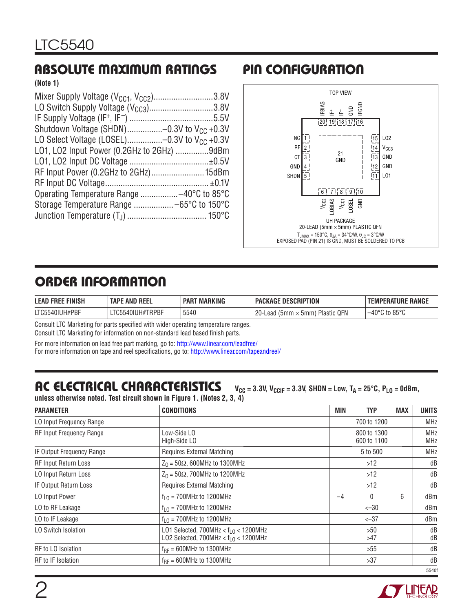### Absolute Maximum Ratings Pin Configuration

**(Note 1)**

| Mixer Supply Voltage $(V_{CG1}, V_{CC2})$ 3.8V        |  |
|-------------------------------------------------------|--|
| LO Switch Supply Voltage $(V_{CC3})$ 3.8V             |  |
|                                                       |  |
| Shutdown Voltage (SHDN)-0.3V to V <sub>CC</sub> +0.3V |  |
| LO Select Voltage (LOSEL)-0.3V to $V_{CC}$ +0.3V      |  |
| L01, L02 Input Power (0.2GHz to 2GHz) 9dBm            |  |
|                                                       |  |
| RF Input Power (0.2GHz to 2GHz) 15dBm                 |  |
|                                                       |  |
| Operating Temperature Range -40°C to 85°C             |  |
|                                                       |  |
|                                                       |  |
|                                                       |  |



## Order Information

| <b>LEAD FREE FINISH</b> | <b>TAPE AND REEL</b> | <b>MARKING</b><br><b>PART</b> | ' PACKAGE DESCRIPTION                              | <b>TEMPERATURE RANGE</b>           |
|-------------------------|----------------------|-------------------------------|----------------------------------------------------|------------------------------------|
| LTC5540IUH#PBF          | .iC5540IUH#TRPBF     | 5540                          | QFN<br>$20 -$<br>Plastic<br>Lead-<br>ı (5mm × 5mm) | $-40^{\circ}$ C to 85 $^{\circ}$ C |

Consult LTC Marketing for parts specified with wider operating temperature ranges.

Consult LTC Marketing for information on non-standard lead based finish parts.

For more information on lead free part marking, go to: http://www.linear.com/leadfree/

For more information on tape and reel specifications, go to: http://www.linear.com/tapeandreel/

#### AC ELECTRICAL CHARACTERISTICS  $V_{CC} = 3.3V, V_{CCIF} = 3.3V, SHDN = Low, T_A = 25°C, P_{LO} = 0dBm,$ **unless otherwise noted. Test circuit shown in Figure 1. (Notes 2, 3, 4)**

| <b>PARAMETER</b>                | <b>CONDITIONS</b>                                                                 | MIN  | <b>TYP</b>                 | <b>MAX</b> | <b>UNITS</b>             |  |          |
|---------------------------------|-----------------------------------------------------------------------------------|------|----------------------------|------------|--------------------------|--|----------|
| LO Input Frequency Range        |                                                                                   |      | 700 to 1200                |            | <b>MHz</b>               |  |          |
| <b>RF Input Frequency Range</b> | Low-Side LO<br>High-Side LO                                                       |      | 800 to 1300<br>600 to 1100 |            | <b>MHz</b><br><b>MHz</b> |  |          |
| IF Output Frequency Range       | <b>Requires External Matching</b>                                                 |      | 5 to 500                   |            | <b>MHz</b>               |  |          |
| <b>RF Input Return Loss</b>     | $Z_0$ = 50 $\Omega$ , 600MHz to 1300MHz                                           |      | $>12$                      |            | dB                       |  |          |
| LO Input Return Loss            | $Z_0$ = 50 $\Omega$ , 700MHz to 1200MHz                                           |      | $>12$                      |            | dB                       |  |          |
| IF Output Return Loss           | <b>Requires External Matching</b>                                                 |      | $>12$                      |            | dB                       |  |          |
| LO Input Power                  | $f10$ = 700MHz to 1200MHz                                                         | $-4$ | 6<br>0                     |            | dBm                      |  |          |
| LO to RF Leakage                | $f10$ = 700MHz to 1200MHz                                                         |      | $<-30$                     |            | dBm                      |  |          |
| LO to IF Leakage                | $f10$ = 700MHz to 1200MHz                                                         |      | $<-37$                     |            | dBm                      |  |          |
| LO Switch Isolation             | LO1 Selected, $700MHz < fLO < 1200MHz$<br>LO2 Selected, $700MHz < f1.0 < 1200MHz$ |      | >50<br>>47                 |            |                          |  | dB<br>dB |
| RF to LO Isolation              | $f_{RF} = 600MHz$ to 1300MHz                                                      |      | >55                        |            | dB                       |  |          |
| RF to IF Isolation              | $f_{BF} = 600MHz$ to 1300MHz                                                      |      | >37                        |            | dB                       |  |          |
|                                 |                                                                                   |      |                            |            | 5540f                    |  |          |

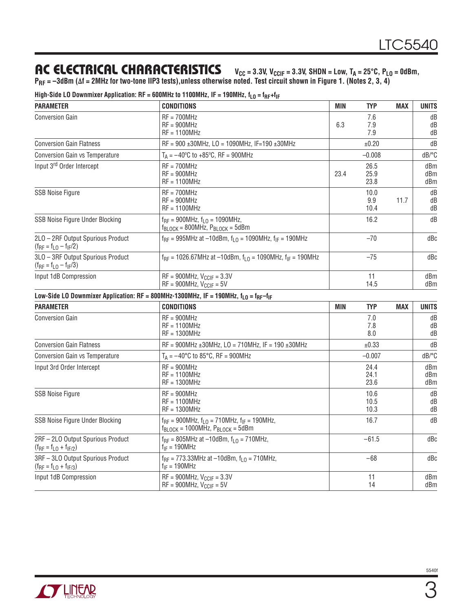### AC ELECTRICAL CHARACTERISTICS V<sub>CC</sub> = 3.3V, V<sub>CCIF</sub> = 3.3V, SHDN = LOW, TA = 25°C, PLO = 0dBm,

**PRF = –3dBm (∆f = 2MHz for two-tone IIP3 tests),unless otherwise noted. Test circuit shown in Figure 1. (Notes 2, 3, 4)**

| High-Side LO Downmixer Application: RF = 600MHz to 1100MHz, IF = 190MHz, $f_{L0} = f_{RF} + f_{IF}$ |  |  |
|-----------------------------------------------------------------------------------------------------|--|--|
|-----------------------------------------------------------------------------------------------------|--|--|

| <b>PARAMETER</b>                                                    | <b>CONDITIONS</b>                                                                                                                    | <b>MIN</b>           | <b>TYP</b>           | <b>MAX</b>        | <b>UNITS</b>      |
|---------------------------------------------------------------------|--------------------------------------------------------------------------------------------------------------------------------------|----------------------|----------------------|-------------------|-------------------|
| <b>Conversion Gain</b>                                              | $RF = 700MHz$<br>$RF = 900MHz$<br>$RF = 1100MHz$                                                                                     | 6.3                  | 7.6<br>7.9<br>7.9    |                   | dB<br>dB<br>dB    |
| <b>Conversion Gain Flatness</b>                                     | $RF = 900 \pm 30$ MHz, LO = 1090MHz, IF=190 $\pm 30$ MHz                                                                             |                      | ±0.20                |                   | dB                |
| Conversion Gain vs Temperature                                      | $T_A = -40^{\circ}C$ to +85 $^{\circ}C$ , RF = 900MHz                                                                                |                      | $-0.008$             |                   | dB/°C             |
| Input 3rd Order Intercept                                           | $RF = 700MHz$<br>$RF = 900MHz$<br>$RF = 1100MHz$                                                                                     | 23.4                 | 26.5<br>25.9<br>23.8 |                   | dBm<br>dBm<br>dBm |
| <b>SSB Noise Figure</b>                                             | $RF = 700MHz$<br>$RF = 900MHz$<br>$RF = 1100MHz$                                                                                     |                      | 10.0<br>9.9<br>10.4  | 11.7              | dB<br>dB<br>dB    |
| SSB Noise Figure Under Blocking                                     | $f_{RF} = 900MHz$ , $f_{L0} = 1090MHz$ ,<br>$f_{\text{BLOCK}} = 800 \text{MHz}$ , $P_{\text{BLOCK}} = 5 \text{dBm}$                  |                      | 16.2                 |                   | dB                |
| 2LO - 2RF Output Spurious Product<br>$(f_{RF} = f_{LO} - f_{IF}/2)$ | $f_{RF}$ = 995MHz at -10dBm, $f_{L0}$ = 1090MHz, $f_{IF}$ = 190MHz                                                                   |                      | $-70$                |                   | dBc               |
| 3LO - 3RF Output Spurious Product<br>$(f_{RF} = f_{LO} - f_{IF}/3)$ | $f_{RF}$ = 1026.67MHz at -10dBm, $f_{10}$ = 1090MHz, $f_{IF}$ = 190MHz                                                               |                      | $-75$                |                   | dBc               |
| Input 1dB Compression                                               | $RF = 900MHz$ , $V_{CCIF} = 3.3V$<br>$RF = 900MHz$ , $V_{CCIF} = 5V$                                                                 |                      | 11<br>14.5           |                   | dBm<br>dBm        |
|                                                                     | Low-Side LO Downmixer Application: RF = 800MHz-1300MHz, IF = 190MHz, $f_{\text{LO}} = f_{\text{RF}} - f_{\text{IF}}$                 |                      |                      |                   |                   |
| <b>PARAMETER</b>                                                    | <b>CONDITIONS</b>                                                                                                                    | <b>MIN</b>           | <b>TYP</b>           | <b>MAX</b>        | <b>UNITS</b>      |
| <b>Conversion Gain</b>                                              | $RF = 900MHz$<br>$RF = 1100MHz$<br>$RF = 1300MHz$                                                                                    |                      | 7.0<br>7.8<br>8.0    |                   | dB<br>dB<br>dB    |
| <b>Conversion Gain Flatness</b>                                     | $RF = 900MHz \pm 30MHz$ , LO = 710MHz, IF = 190 ±30MHz                                                                               |                      | ±0.33                |                   | dB                |
| <b>Conversion Gain vs Temperature</b>                               | $T_A = -40^{\circ}C$ to 85 $^{\circ}C$ , RF = 900MHz                                                                                 |                      | $-0.007$             |                   | dB/°C             |
| Input 3rd Order Intercept                                           | $RF = 900MHz$<br>$RF = 1100MHz$<br>$RF = 1300MHz$                                                                                    | 24.4<br>24.1<br>23.6 |                      | dBm<br>dBm<br>dBm |                   |
| <b>SSB Noise Figure</b>                                             | $RF = 900MHz$<br>$RF = 1100MHz$<br>$RF = 1300MHz$                                                                                    | 10.6<br>10.5<br>10.3 |                      | dB<br>dB<br>dB    |                   |
| SSB Noise Figure Under Blocking                                     | $f_{RF}$ = 900MHz, $f_{L0}$ = 710MHz, $f_{IF}$ = 190MHz,<br>$f_{\text{BLOCK}} = 1000 \text{MHz}$ , $P_{\text{BLOCK}} = 5 \text{dBm}$ |                      | 16.7                 |                   | dB                |
| 2RF - 2LO Output Spurious Product<br>$(f_{RF} = f_{L0} + f_{IF/2})$ | $f_{RF}$ = 805MHz at -10dBm, $f_{LO}$ = 710MHz,<br>$f_{IF} = 190MHz$                                                                 |                      | $-61.5$              |                   | dBc               |
| 3RF - 3LO Output Spurious Product<br>$(f_{RF} = f_{L0} + f_{IF/3})$ | $f_{RF}$ = 773.33MHz at -10dBm, $f_{L0}$ = 710MHz,<br>$f_{IF}$ = 190MHz                                                              |                      | $-68$                |                   | dBc               |
| Input 1dB Compression                                               | $RF = 900MHz$ , $V_{CCIF} = 3.3V$<br>$RF = 900MHz$ , $V_{CCIF} = 5V$                                                                 |                      | 11<br>14             |                   | dBm<br>dBm        |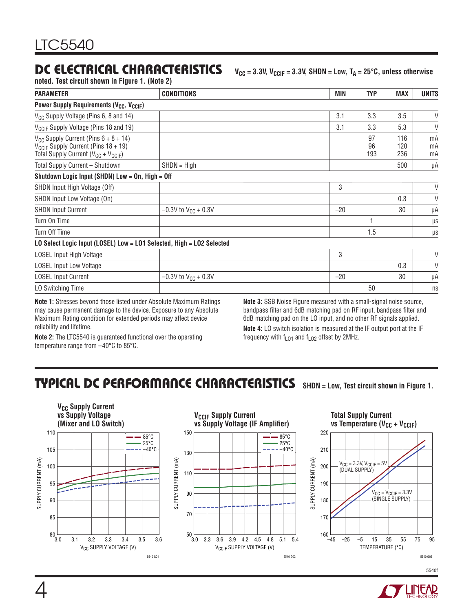### DC ELECTRICAL CHARACTERISTICS V<sub>CC</sub> = 3.3V, V<sub>CCIF</sub> = 3.3V, SHDN = Low, TA = 25°C, unless otherwise

**noted. Test circuit shown in Figure 1. (Note 2)**

| <b>PARAMETER</b>                                                                                                                           | <b>CONDITIONS</b>          | MIN                                                                     | <b>TYP</b>      | <b>MAX</b>        | <b>UNITS</b>   |
|--------------------------------------------------------------------------------------------------------------------------------------------|----------------------------|-------------------------------------------------------------------------|-----------------|-------------------|----------------|
| Power Supply Requirements (V <sub>CC</sub> , V <sub>CCIF</sub> )                                                                           |                            |                                                                         |                 |                   |                |
| V <sub>CC</sub> Supply Voltage (Pins 6, 8 and 14)                                                                                          |                            | 3.1                                                                     | 3.3             | 3.5               | V              |
| V <sub>CCIF</sub> Supply Voltage (Pins 18 and 19)                                                                                          |                            | 3.1                                                                     | 3.3             | 5.3               | V              |
| $V_{CC}$ Supply Current (Pins $6 + 8 + 14$ )<br>$V_{CCIF}$ Supply Current (Pins 18 + 19)<br>Total Supply Current ( $V_{CC}$ + $V_{CCIF}$ ) |                            |                                                                         | 97<br>96<br>193 | 116<br>120<br>236 | mA<br>mA<br>mA |
| Total Supply Current - Shutdown                                                                                                            | $SHDN = High$              |                                                                         |                 | 500               | μA             |
| Shutdown Logic Input (SHDN) Low = On, High = Off                                                                                           |                            |                                                                         |                 |                   |                |
| SHDN Input High Voltage (Off)                                                                                                              |                            | 3                                                                       |                 |                   | V              |
| SHDN Input Low Voltage (On)                                                                                                                |                            |                                                                         |                 | 0.3               | V              |
| <b>SHDN Input Current</b>                                                                                                                  | $-0.3V$ to $V_{CC}$ + 0.3V | $-20$                                                                   |                 | 30                | μA             |
| Turn On Time                                                                                                                               |                            |                                                                         |                 |                   | $\mu s$        |
| Turn Off Time                                                                                                                              |                            |                                                                         | 1.5             |                   | μs             |
| LO Select Logic Input (LOSEL) Low = LO1 Selected, High = LO2 Selected                                                                      |                            |                                                                         |                 |                   |                |
| LOSEL Input High Voltage                                                                                                                   |                            | 3                                                                       |                 |                   | V              |
| <b>LOSEL Input Low Voltage</b>                                                                                                             |                            |                                                                         |                 | 0.3               | V              |
| <b>LOSEL Input Current</b>                                                                                                                 | $-0.3V$ to $V_{CC}$ + 0.3V | $-20$                                                                   |                 | 30                | μA             |
| LO Switching Time                                                                                                                          |                            |                                                                         | 50              |                   | ns             |
| Material Characters because distances Retrait and deaths Aberdant Marchaeology Destances                                                   |                            | Mate 6: 00D Mater Florida accessived with a specificational patents and |                 |                   |                |

**Note 1:** Stresses beyond those listed under Absolute Maximum Ratings may cause permanent damage to the device. Exposure to any Absolute Maximum Rating condition for extended periods may affect device reliability and lifetime.

**Note 3:** SSB Noise Figure measured with a small-signal noise source, bandpass filter and 6dB matching pad on RF input, bandpass filter and 6dB matching pad on the LO input, and no other RF signals applied. **Note 4:** LO switch isolation is measured at the IF output port at the IF frequency with  $f<sub>LO1</sub>$  and  $f<sub>LO2</sub>$  offset by 2MHz.

**Note 2:** The LTC5540 is guaranteed functional over the operating temperature range from –40°C to 85°C.

### Typical DC Performance Characteristics **SHDN = Low, Test circuit shown in Figure 1.**



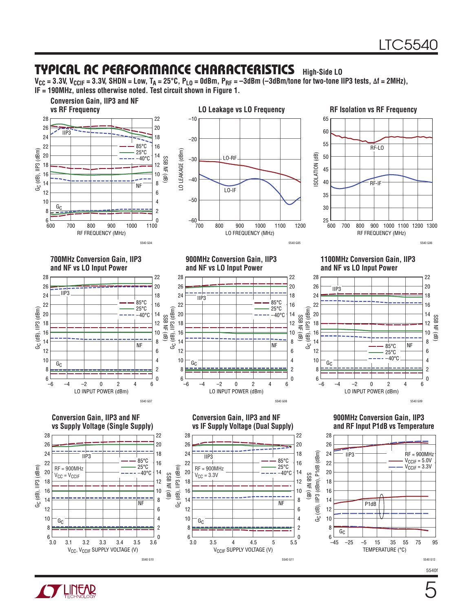#### Typical AC Performance Characteristics **High-Side LO**

**VCC = 3.3V, VCCIF = 3.3V, SHDN = Low, TA = 25°C, PLO = 0dBm, PRF = –3dBm (–3dBm/tone for two-tone IIP3 tests, ∆f = 2MHz), IF = 190MHz, unless otherwise noted. Test circuit shown in Figure 1.**



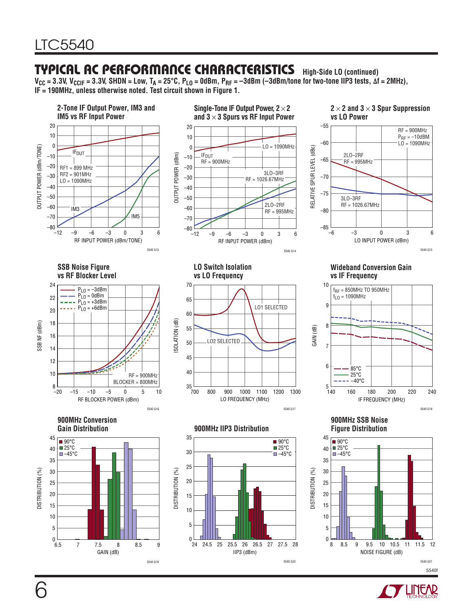### Typical AC Performance Characteristics **High-Side LO (continued)**

V<sub>CC</sub> = 3.3V, V<sub>CCIF</sub> = 3.3V, SHDN = Low, T<sub>A</sub> = 25°C, P<sub>LO</sub> = 0dBm, P<sub>RF</sub> = −3dBm (−3dBm/tone for two-tone IIP3 tests, ∆f = 2MHz), **IF = 190MHz, unless otherwise noted. Test circuit shown in Figure 1.**



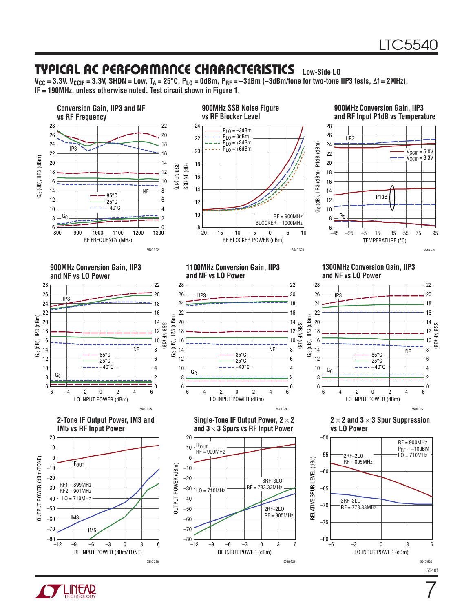$\overline{7}$ 

### Typical AC Performance Characteristics **Low-Side LO**

V<sub>CC</sub> = 3.3V, V<sub>CCIF</sub> = 3.3V, SHDN = Low, T<sub>A</sub> = 25°C, P<sub>LO</sub> = 0dBm, P<sub>RF</sub> = −3dBm (−3dBm/tone for two-tone IIP3 tests, ∆f = 2MHz), **IF = 190MHz, unless otherwise noted. Test circuit shown in Figure 1.**



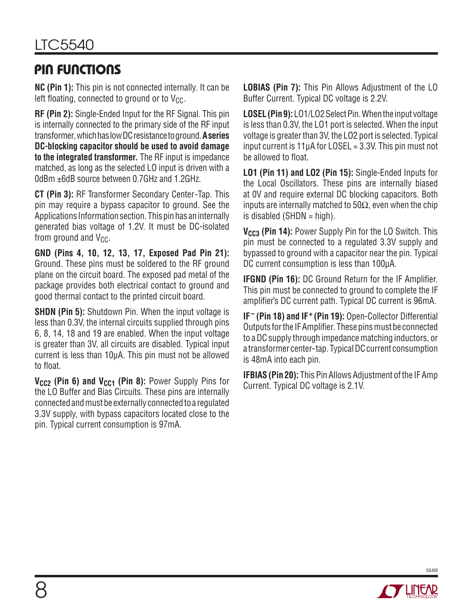### Pin Functions

**NC (Pin 1):** This pin is not connected internally. It can be left floating, connected to ground or to  $V_{CC}$ .

**RF (Pin 2):** Single-Ended Input for the RF Signal. This pin is internally connected to the primary side of the RF input transformer, which has low DC resistance to ground. **A series DC-blocking capacitor should be used to avoid damage to the integrated transformer.** The RF input is impedance matched, as long as the selected LO input is driven with a 0dBm ±6dB source between 0.7GHz and 1.2GHz.

**CT (Pin 3):** RF Transformer Secondary Center-Tap. This pin may require a bypass capacitor to ground. See the Applications Information section. This pin has an internally generated bias voltage of 1.2V. It must be DC-isolated from ground and  $V_{CC}$ .

**GND (Pins 4, 10, 12, 13, 17, Exposed Pad Pin 21):**  Ground. These pins must be soldered to the RF ground plane on the circuit board. The exposed pad metal of the package provides both electrical contact to ground and good thermal contact to the printed circuit board.

**SHDN (Pin 5):** Shutdown Pin. When the input voltage is less than 0.3V, the internal circuits supplied through pins 6, 8, 14, 18 and 19 are enabled. When the input voltage is greater than 3V, all circuits are disabled. Typical input current is less than 10μA. This pin must not be allowed to float.

**V<sub>CC2</sub> (Pin 6) and V<sub>CC1</sub> (Pin 8):** Power Supply Pins for the LO Buffer and Bias Circuits. These pins are internally connected and must be externally connected to a regulated 3.3V supply, with bypass capacitors located close to the pin. Typical current consumption is 97mA.

**LOBIAS (Pin 7):** This Pin Allows Adjustment of the LO Buffer Current. Typical DC voltage is 2.2V.

**LOSEL (Pin 9):** LO1/LO2 Select Pin. When the input voltage is less than 0.3V, the LO1 port is selected. When the input voltage is greater than 3V, the LO2 port is selected. Typical input current is  $11\mu A$  for LOSEL = 3.3V. This pin must not be allowed to float.

**LO1 (Pin 11) and LO2 (Pin 15):** Single-Ended Inputs for the Local Oscillators. These pins are internally biased at 0V and require external DC blocking capacitors. Both inputs are internally matched to  $50\Omega$ , even when the chip is disabled (SHDN  $=$  high).

**V<sub>CC3</sub>** (Pin 14): Power Supply Pin for the LO Switch. This pin must be connected to a regulated 3.3V supply and bypassed to ground with a capacitor near the pin. Typical DC current consumption is less than 100μA.

**IFGND (Pin 16):** DC Ground Return for the IF Amplifier. This pin must be connected to ground to complete the IF amplifier's DC current path. Typical DC current is 96mA.

**IF– (Pin 18) and IF+ (Pin 19):** Open-Collector Differential Outputs for the IF Amplifier. These pins must be connected to a DC supply through impedance matching inductors, or a transformer center-tap. Typical DC current consumption is 48mA into each pin.

**IFBIAS (Pin 20):** This Pin Allows Adjustment of the IF Amp Current. Typical DC voltage is 2.1V.



8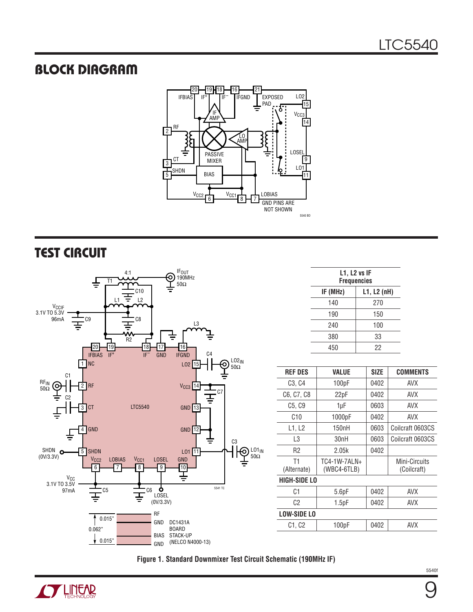### Block Diagram



### Test Circuit



| $L1$ , $L2$ vs IF<br><b>Frequencies</b> |     |  |  |
|-----------------------------------------|-----|--|--|
| IF (MHz)<br>$L1, L2$ (nH)               |     |  |  |
| 140                                     | 270 |  |  |
| 190                                     | 150 |  |  |
| 240                                     | 100 |  |  |
| 380                                     | 33  |  |  |
| 450                                     | 22  |  |  |
|                                         |     |  |  |

| <b>REF DES</b>                  | VALUE                       | <b>SIZE</b> | <b>COMMENTS</b>              |
|---------------------------------|-----------------------------|-------------|------------------------------|
| C <sub>3</sub> , C <sub>4</sub> | 100pF                       | 0402        | <b>AVX</b>                   |
| C6, C7, C8                      | 22pF                        | 0402        | AVX                          |
| C <sub>5</sub> , C <sub>9</sub> | 1µF                         | 0603        | AVX                          |
| C10                             | 1000pF                      | 0402        | <b>AVX</b>                   |
| L1. L2                          | 150nH                       | 0603        | Coilcraft 0603CS             |
| L3                              | 30nH                        | 0603        | Coilcraft 0603CS             |
| R2                              | 2.05k                       | 0402        |                              |
| T1<br>(Alternate)               | TC4-1W-7ALN+<br>(WBC4-6TLB) |             | Mini-Circuits<br>(Coilcraft) |
| HIGH-SIDE LO                    |                             |             |                              |
| C1                              | 5.6pF                       | 0402        | <b>AVX</b>                   |
| C2                              | 1.5 <sub>pF</sub>           | 0402        | AVX                          |
| <b>LOW-SIDE LO</b>              |                             |             |                              |
| C1, C2                          | 100pF                       | 0402        | AVX                          |
|                                 |                             |             |                              |

**Figure 1. Standard Downmixer Test Circuit Schematic (190MHz IF)**

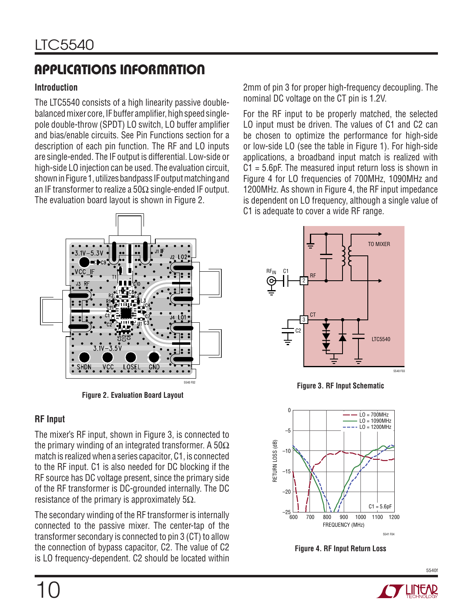### **Introduction**

The LTC5540 consists of a high linearity passive doublebalanced mixer core, IF buffer amplifier, high speed singlepole double-throw (SPDT) LO switch, LO buffer amplifier and bias/enable circuits. See Pin Functions section for a description of each pin function. The RF and LO inputs are single-ended. The IF output is differential. Low-side or high-side LO injection can be used. The evaluation circuit, shown in Figure 1, utilizes bandpass IF output matching and an IF transformer to realize a 50 $\Omega$  single-ended IF output. The evaluation board layout is shown in Figure 2.

2mm of pin 3 for proper high-frequency decoupling. The nominal DC voltage on the CT pin is 1.2V.

For the RF input to be properly matched, the selected LO input must be driven. The values of C1 and C2 can be chosen to optimize the performance for high-side or low-side LO (see the table in Figure 1). For high-side applications, a broadband input match is realized with C1 = 5.6pF. The measured input return loss is shown in Figure 4 for LO frequencies of 700MHz, 1090MHz and 1200MHz. As shown in Figure 4, the RF input impedance is dependent on LO frequency, although a single value of C1 is adequate to cover a wide RF range.



**Figure 2. Evaluation Board Layout**

### **RF Input**

The mixer's RF input, shown in Figure 3, is connected to the primary winding of an integrated transformer. A 50 $\Omega$ match is realized when a series capacitor, C1, is connected to the RF input. C1 is also needed for DC blocking if the RF source has DC voltage present, since the primary side of the RF transformer is DC-grounded internally. The DC resistance of the primary is approximately  $5\Omega$ .

The secondary winding of the RF transformer is internally connected to the passive mixer. The center-tap of the transformer secondary is connected to pin 3 (CT) to allow the connection of bypass capacitor, C2. The value of C2 is LO frequency-dependent. C2 should be located within







**Figure 4. RF Input Return Loss**

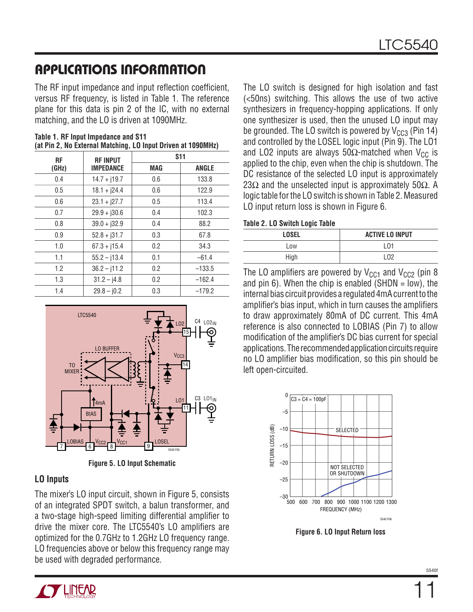The RF input impedance and input reflection coefficient, versus RF frequency, is listed in Table 1. The reference plane for this data is pin 2 of the IC, with no external matching, and the LO is driven at 1090MHz.

| <b>RF</b><br><b>RF INPUT</b> |                  | <b>S11</b> |              |
|------------------------------|------------------|------------|--------------|
| (GHz)                        | <b>IMPEDANCE</b> | <b>MAG</b> | <b>ANGLE</b> |
| 0.4                          | $14.7 + j19.7$   | 0.6        | 133.8        |
| 0.5                          | $18.1 + j24.4$   | 0.6        | 122.9        |
| 0.6                          | $23.1 + j27.7$   | 0.5        | 113.4        |
| 0.7                          | $29.9 + j30.6$   | 0.4        | 102.3        |
| 0.8                          | $39.0 + j32.9$   | 0.4        | 88.2         |
| 0.9                          | $52.8 + j31.7$   | 0.3        | 67.8         |
| 1.0                          | $67.3 + i15.4$   | 0.2        | 34.3         |
| 1.1                          | $55.2 - j13.4$   | 0.1        | $-61.4$      |
| 1.2                          | $36.2 - j11.2$   | 0.2        | $-133.5$     |
| 1.3                          | $31.2 - j4.8$    | 0.2        | $-162.4$     |
| 1.4                          | $29.8 - j0.2$    | 0.3        | $-179.2$     |

**Table 1. RF Input Impedance and S11 (at Pin 2, No External Matching, LO Input Driven at 1090MHz)**



**Figure 5. LO Input Schematic**

#### **LO Inputs**

The mixer's LO input circuit, shown in Figure 5, consists of an integrated SPDT switch, a balun transformer, and a two-stage high-speed limiting differential amplifier to drive the mixer core. The LTC5540's LO amplifiers are optimized for the 0.7GHz to 1.2GHz LO frequency range. LO frequencies above or below this frequency range may be used with degraded performance.

The LO switch is designed for high isolation and fast (<50ns) switching. This allows the use of two active synthesizers in frequency-hopping applications. If only one synthesizer is used, then the unused LO input may be grounded. The LO switch is powered by  $V_{CC3}$  (Pin 14) and controlled by the LOSEL logic input (Pin 9). The LO1 and LO2 inputs are always 50 $\Omega$ -matched when V<sub>CC</sub> is applied to the chip, even when the chip is shutdown. The DC resistance of the selected LO input is approximately 23Ω and the unselected input is approximately 50Ω. A logic table for the LO switch is shown in Table 2. Measured LO input return loss is shown in Figure 6.

#### **Table 2. LO Switch Logic Table**

| .            |                        |
|--------------|------------------------|
| <b>LOSEL</b> | <b>ACTIVE LO INPUT</b> |
| Low          | L01                    |
| High         | LO2                    |

The LO amplifiers are powered by  $V_{CC1}$  and  $V_{CC2}$  (pin 8 and pin 6). When the chip is enabled  $(SHDN = low)$ , the internal bias circuit provides a regulated 4mA current to the amplifier's bias input, which in turn causes the amplifiers to draw approximately 80mA of DC current. This 4mA reference is also connected to LOBIAS (Pin 7) to allow modification of the amplifier's DC bias current for special applications. The recommended application circuits require no LO amplifier bias modification, so this pin should be left open-circuited.



**Figure 6. LO Input Return loss**



11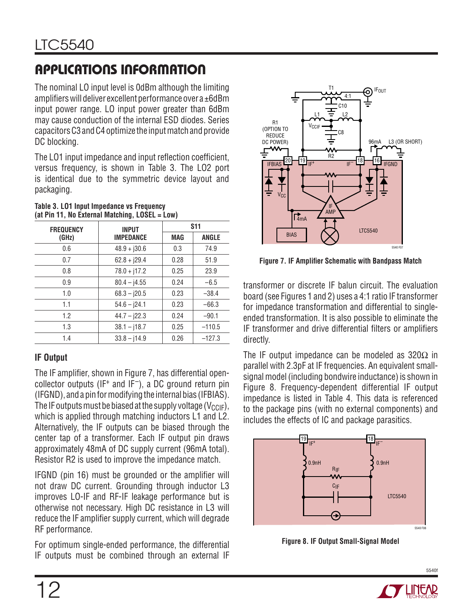The nominal LO input level is 0dBm although the limiting amplifiers will deliver excellent performance over a ±6dBm input power range. LO input power greater than 6dBm may cause conduction of the internal ESD diodes. Series capacitors C3 and C4 optimize the input match and provide DC blocking.

The LO1 input impedance and input reflection coefficient, versus frequency, is shown in Table 3. The LO2 port is identical due to the symmetric device layout and packaging.

| <b>FREQUENCY</b> | <b>INPUT</b>     |            | <b>S11</b>   |  |
|------------------|------------------|------------|--------------|--|
| (GHz)            | <b>IMPEDANCE</b> | <b>MAG</b> | <b>ANGLE</b> |  |
| 0.6              | $48.9 + j30.6$   | 0.3        | 74.9         |  |
| 0.7              | $62.8 + j29.4$   | 0.28       | 51.9         |  |
| 0.8              | $78.0 + j17.2$   | 0.25       | 23.9         |  |
| 0.9              | $80.4 - j4.55$   | 0.24       | $-6.5$       |  |
| 1.0              | $68.3 - j20.5$   | 0.23       | $-38.4$      |  |
| 1.1              | $54.6 - 124.1$   | 0.23       | $-66.3$      |  |
| 1.2              | $44.7 - j22.3$   | 0.24       | $-90.1$      |  |
| 1.3              | $38.1 - j18.7$   | 0.25       | $-110.5$     |  |
| 1.4              | $33.8 - i14.9$   | 0.26       | $-127.3$     |  |

#### **Table 3. LO1 Input Impedance vs Frequency (at Pin 11, No External Matching, LOSEL = Low)**

### **IF Output**

The IF amplifier, shown in Figure 7, has differential opencollector outputs (IF<sup>+</sup> and IF<sup>-</sup>), a DC ground return pin (IFGND), and a pin for modifying the internal bias (IFBIAS). The IF outputs must be biased at the supply voltage ( $V_{\text{CCIF}}$ ), which is applied through matching inductors L1 and L2. Alternatively, the IF outputs can be biased through the center tap of a transformer. Each IF output pin draws approximately 48mA of DC supply current (96mA total). Resistor R2 is used to improve the impedance match.

IFGND (pin 16) must be grounded or the amplifier will not draw DC current. Grounding through inductor L3 improves LO-IF and RF-IF leakage performance but is otherwise not necessary. High DC resistance in L3 will reduce the IF amplifier supply current, which will degrade RF performance.

For optimum single-ended performance, the differential IF outputs must be combined through an external IF



**Figure 7. IF Amplifier Schematic with Bandpass Match**

transformer or discrete IF balun circuit. The evaluation board (see Figures 1 and 2) uses a 4:1 ratio IF transformer for impedance transformation and differential to singleended transformation. It is also possible to eliminate the IF transformer and drive differential filters or amplifiers directly.

The IF output impedance can be modeled as  $320\Omega$  in parallel with 2.3pF at IF frequencies. An equivalent smallsignal model (including bondwire inductance) is shown in Figure 8. Frequency-dependent differential IF output impedance is listed in Table 4. This data is referenced to the package pins (with no external components) and includes the effects of IC and package parasitics.



**Figure 8. IF Output Small-Signal Model**

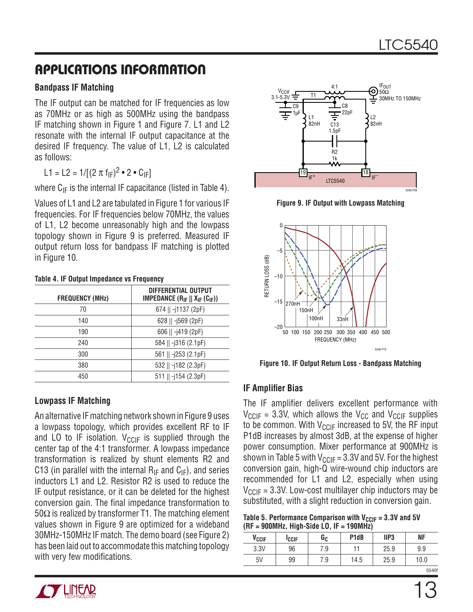#### **Bandpass IF Matching**

The IF output can be matched for IF frequencies as low as 70MHz or as high as 500MHz using the bandpass IF matching shown in Figure 1 and Figure 7. L1 and L2 resonate with the internal IF output capacitance at the desired IF frequency. The value of L1, L2 is calculated as follows:

L1 = L2 = 1/[(2  $\pi$  f<sub>IF</sub>)<sup>2</sup> • 2 • C<sub>IF</sub>]

where  $C_{IF}$  is the internal IF capacitance (listed in Table 4).

Values of L1 and L2 are tabulated in Figure 1 for various IF frequencies. For IF frequencies below 70MHz, the values of L1, L2 become unreasonably high and the lowpass topology shown in Figure 9 is preferred. Measured IF output return loss for bandpass IF matching is plotted in Figure 10.

| Table 4. If Output Impoudings to Floquoity |                                                                       |  |
|--------------------------------------------|-----------------------------------------------------------------------|--|
| <b>FREQUENCY (MHz)</b>                     | DIFFERENTIAL OUTPUT<br><b>IMPEDANCE</b> $(R_{IF}    X_{IF} (C_{IF}))$ |  |
| 70                                         | 674    -j1137 (2pF)                                                   |  |
| 140                                        | 628    $-$ j569 (2pF)                                                 |  |
| 190                                        | 606    -j419 (2pF)                                                    |  |
| 240                                        | 584    -j316 (2.1pF)                                                  |  |
| 300                                        | 561    -j253 (2.1pF)                                                  |  |
| 380                                        | 532    -j182 (2.3pF)                                                  |  |
| 450                                        | 511    -j154 (2.3pF)                                                  |  |

**Table 4. IF Output Impedance vs Frequency**

### **Lowpass IF Matching**

An alternative IF matching network shown in Figure 9 uses a lowpass topology, which provides excellent RF to IF and LO to IF isolation.  $V_{CCIF}$  is supplied through the center tap of the 4:1 transformer. A lowpass impedance transformation is realized by shunt elements R2 and C13 (in parallel with the internal  $R_{IF}$  and  $C_{IF}$ ), and series inductors L1 and L2. Resistor R2 is used to reduce the IF output resistance, or it can be deleted for the highest conversion gain. The final impedance transformation to 50 $Ω$  is realized by transformer T1. The matching element values shown in Figure 9 are optimized for a wideband 30MHz-150MHz IF match. The demo board (see Figure 2) has been laid out to accommodate this matching topology with very few modifications.



**Figure 9. IF Output with Lowpass Matching**



**Figure 10. IF Output Return Loss - Bandpass Matching**

### **IF Amplifier Bias**

The IF amplifier delivers excellent performance with  $V_{CCIF}$  = 3.3V, which allows the  $V_{CC}$  and  $V_{CCIF}$  supplies to be common. With  $V_{CCIF}$  increased to 5V, the RF input P1dB increases by almost 3dB, at the expense of higher power consumption. Mixer performance at 900MHz is shown in Table 5 with  $V_{CCIF} = 3.3V$  and 5V. For the highest conversion gain, high-Q wire-wound chip inductors are recommended for L1 and L2, especially when using  $V_{CCIF}$  = 3.3V. Low-cost multilayer chip inductors may be substituted, with a slight reduction in conversion gain.

Table 5. Performance Comparison with  $V_{CCIF} = 3.3V$  and 5V **(RF = 900MHz, High-Side LO, IF = 190MHz)**

|                   | -            |     |                               |                  |           |
|-------------------|--------------|-----|-------------------------------|------------------|-----------|
| V <sub>CCIF</sub> | <b>ICCIF</b> | Gc  | P <sub>1</sub> d <sub>B</sub> | IIP <sub>3</sub> | <b>NF</b> |
| 3.3V              | 96           | 7.9 |                               | 25.9             | 9.9       |
| 5V                | 99           | 7.9 | 14.5                          | 25.9             | 10.0      |
|                   |              |     |                               |                  | 5540f     |

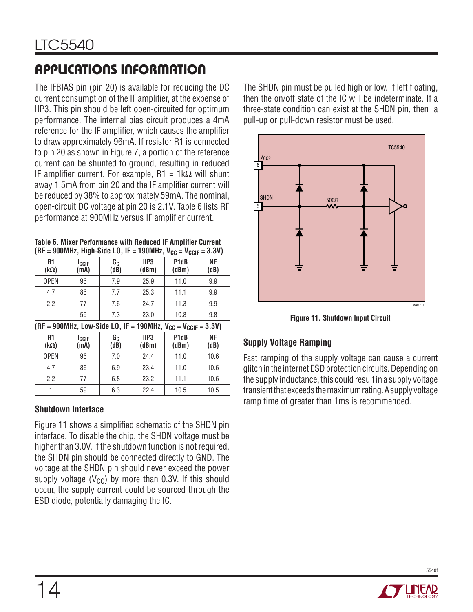The IFBIAS pin (pin 20) is available for reducing the DC current consumption of the IF amplifier, at the expense of IIP3. This pin should be left open-circuited for optimum performance. The internal bias circuit produces a 4mA reference for the IF amplifier, which causes the amplifier to draw approximately 96mA. If resistor R1 is connected to pin 20 as shown in Figure 7, a portion of the reference current can be shunted to ground, resulting in reduced IF amplifier current. For example,  $R1 = 1k\Omega$  will shunt away 1.5mA from pin 20 and the IF amplifier current will be reduced by 38% to approximately 59mA. The nominal, open-circuit DC voltage at pin 20 is 2.1V. Table 6 lists RF performance at 900MHz versus IF amplifier current.

**Table 6. Mixer Performance with Reduced IF Amplifier Current**   $(RF = 900MHz)$ , High-Side LO, IF = 190MHz,  $V_{CC} = V_{CCE} = 3.3V$ 

| - ooomna, mga orae co, n<br>– 1991 – 1981 – 1991 –<br><u></u>        |                      |                                |                           |                                        |            |
|----------------------------------------------------------------------|----------------------|--------------------------------|---------------------------|----------------------------------------|------------|
| R1<br>$(k\Omega)$                                                    | <b>ICCIF</b><br>(mA) | G <sub>C</sub><br>$(d\bar{B})$ | IIP <sub>3</sub><br>(dBm) | P <sub>1</sub> d <sub>B</sub><br>(dBm) | ΝF<br>(dB) |
| <b>OPEN</b>                                                          | 96                   | 7.9                            | 25.9                      | 11.0                                   | 9.9        |
| 4.7                                                                  | 86                   | 7.7                            | 25.3                      | 11.1                                   | 9.9        |
| 2.2                                                                  | 77                   | 7.6                            | 24.7                      | 11.3                                   | 9.9        |
| 1                                                                    | 59                   | 7.3                            | 23.0                      | 10.8                                   | 9.8        |
| (RF = 900MHz, Low-Side LO, IF = 190MHz, $V_{CC} = V_{CCIF} = 3.3V$ ) |                      |                                |                           |                                        |            |
| R <sub>1</sub><br>$(k\Omega)$                                        | Iccif<br>(mA)        | Gc<br>(dB)                     | IIP <sub>3</sub><br>(dBm) | P <sub>1</sub> d <sub>B</sub><br>(dBm) | ΝF<br>(dB) |
| <b>OPEN</b>                                                          | 96                   | 7.0                            | 24.4                      | 11.0                                   | 10.6       |
| 4.7                                                                  | 86                   | 6.9                            | 23.4                      | 11.0                                   | 10.6       |
| 2.2                                                                  | 77                   | 6.8                            | 23.2                      | 11.1                                   | 10.6       |
| 1                                                                    | 59                   | 6.3                            | 22.4                      | 10.5                                   | 10.5       |

### **Shutdown Interface**

Figure 11 shows a simplified schematic of the SHDN pin interface. To disable the chip, the SHDN voltage must be higher than 3.0V. If the shutdown function is not required, the SHDN pin should be connected directly to GND. The voltage at the SHDN pin should never exceed the power supply voltage ( $V_{CC}$ ) by more than 0.3V. If this should occur, the supply current could be sourced through the ESD diode, potentially damaging the IC.

The SHDN pin must be pulled high or low. If left floating, then the on/off state of the IC will be indeterminate. If a three-state condition can exist at the SHDN pin, then a pull-up or pull-down resistor must be used.



**Figure 11. Shutdown Input Circuit**

### **Supply Voltage Ramping**

Fast ramping of the supply voltage can cause a current glitch in the internet ESD protection circuits. Depending on the supply inductance, this could result in a supply voltage transient that exceeds the maximum rating. A supply voltage ramp time of greater than 1ms is recommended.

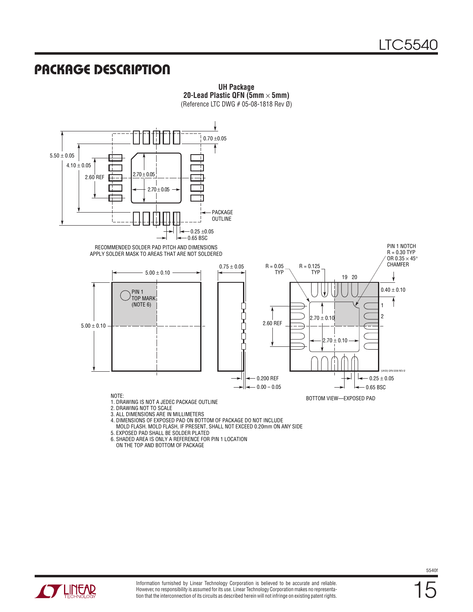### Package Description



**UH Package 20-Lead Plastic QFN (5mm** × **5mm)**

- 3. ALL DIMENSIONS ARE IN MILLIMETERS
- 4. DIMENSIONS OF EXPOSED PAD ON BOTTOM OF PACKAGE DO NOT INCLUDE
- MOLD FLASH. MOLD FLASH, IF PRESENT, SHALL NOT EXCEED 0.20mm ON ANY SIDE
- 5. EXPOSED PAD SHALL BE SOLDER PLATED
- 6. SHADED AREA IS ONLY A REFERENCE FOR PIN 1 LOCATION
- ON THE TOP AND BOTTOM OF PACKAGE



15